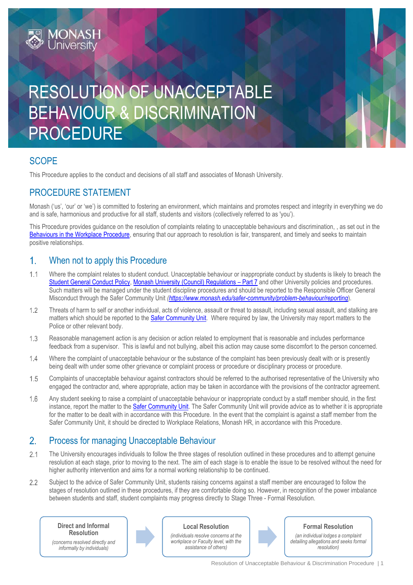# RESOLUTION OF UNACCEPTABLE BEHAVIOUR & DISCRIMINATION PROCEDURE

# **SCOPE**

This Procedure applies to the conduct and decisions of all staff and associates of Monash University.

# PROCEDURE STATEMENT

**MONASH**<br>University

Monash ('us', 'our' or 'we') is committed to fostering an environment, which maintains and promotes respect and integrity in everything we do and is safe, harmonious and productive for all staff, students and visitors (collectively referred to as 'you').

This Procedure provides guidance on the resolution of complaints relating to unacceptable behaviours and discrimination, , as set out in the [Behaviours in the Workplace Procedure,](https://www.monash.edu/__data/assets/pdf_file/0003/1265250/Behaviours-in-the-Workplace.pdf) ensuring that our approach to resolution is fair, transparent, and timely and seeks to maintain positive relationships.

#### $1<sub>1</sub>$ When not to apply this Procedure

- $1.1$ Where the complaint relates to student conduct. Unacceptable behaviour or inappropriate conduct by students is likely to breach the [Student General Conduct Policy,](https://www.monash.edu/__data/assets/pdf_file/0004/2028658/Student-General-Conduct-Policy.pdf) [Monash University \(Council\) Regulations](https://www.monash.edu/__data/assets/pdf_file/0011/1292825/Monash-University-Council-Regulations-26-Feb-2018.pdf) – Part 7 and other University policies and procedures. Such matters will be managed under the student discipline procedures and should be reported to the Responsible Officer General Misconduct through the Safer Community Unit *[\(https://www.monash.edu/safer-community/problem-behaviour/reporting](https://www.monash.edu/safer-community/problem-behaviour/reporting)*).
- $1.2$ Threats of harm to self or another individual, acts of violence, assault or threat to assault, including sexual assault, and stalking are matters which should be reported to the [Safer Community Unit.](https://www.monash.edu/safer-community) Where required by law, the University may report matters to the Police or other relevant body.
- $1.3$ Reasonable management action is any decision or action related to employment that is reasonable and includes performance feedback from a supervisor. This is lawful and not bullying, albeit this action may cause some discomfort to the person concerned.
- $1.4$ Where the complaint of unacceptable behaviour or the substance of the complaint has been previously dealt with or is presently being dealt with under some other grievance or complaint process or procedure or disciplinary process or procedure.
- $1.5$ Complaints of unacceptable behaviour against contractors should be referred to the authorised representative of the University who engaged the contractor and, where appropriate, action may be taken in accordance with the provisions of the contractor agreement.
- 1.6 Any student seeking to raise a complaint of unacceptable behaviour or inappropriate conduct by a staff member should, in the first instance, report the matter to th[e Safer Community Unit.](https://www.monash.edu/safer-community) The Safer Community Unit will provide advice as to whether it is appropriate for the matter to be dealt with in accordance with this Procedure. In the event that the complaint is against a staff member from the Safer Community Unit, it should be directed to Workplace Relations, Monash HR, in accordance with this Procedure.

#### $2.$ Process for managing Unacceptable Behaviour

- $2.1$ The University encourages individuals to follow the three stages of resolution outlined in these procedures and to attempt genuine resolution at each stage, prior to moving to the next. The aim of each stage is to enable the issue to be resolved without the need for higher authority intervention and aims for a normal working relationship to be continued.
- $2.2$ Subject to the advice of Safer Community Unit, students raising concerns against a staff member are encouraged to follow the stages of resolution outlined in these procedures, if they are comfortable doing so. However, in recognition of the power imbalance between students and staff, student complaints may progress directly to Stage Three - Formal Resolution.

**Direct and Informal Resolution**

*(concerns resolved directly and informally by individuals)*



**Local Resolution** *(individuals resolve concerns at the* 

*workplace or Faculty level, with the assistance of others)*



### **Formal Resolution**

*(an individual lodges a complaint detailing allegations and seeks formal resolution)*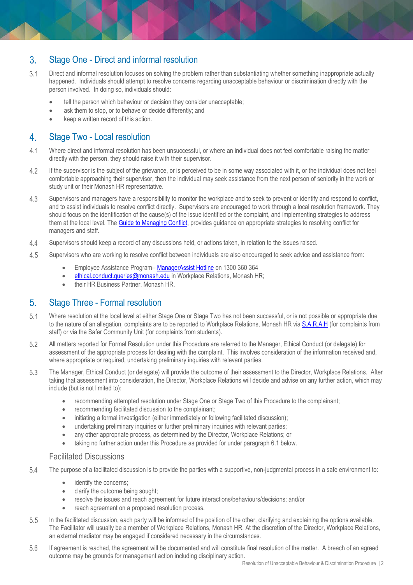#### Stage One - Direct and informal resolution  $3.$

- $3.1$ Direct and informal resolution focuses on solving the problem rather than substantiating whether something inappropriate actually happened. Individuals should attempt to resolve concerns regarding unacceptable behaviour or discrimination directly with the person involved. In doing so, individuals should:
	- tell the person which behaviour or decision they consider unacceptable;
	- ask them to stop, or to behave or decide differently; and
	- keep a written record of this action.

#### $\overline{4}$ . Stage Two - Local resolution

- $41$ Where direct and informal resolution has been unsuccessful, or where an individual does not feel comfortable raising the matter directly with the person, they should raise it with their supervisor.
- $4.2$ If the supervisor is the subject of the grievance, or is perceived to be in some way associated with it, or the individual does not feel comfortable approaching their supervisor, then the individual may seek assistance from the next person of seniority in the work or study unit or their Monash HR representative.
- $4.3$ Supervisors and managers have a responsibility to monitor the workplace and to seek to prevent or identify and respond to conflict, and to assist individuals to resolve conflict directly. Supervisors are encouraged to work through a local resolution framework. They should focus on the identification of the cause(s) of the issue identified or the complaint, and implementing strategies to address them at the local level. The [Guide to Managing Conflict,](https://www.intranet.monash/hr/assets/docs/about-us/centres-of-expertise/guide-to-managing-conflict.pdf) provides guidance on appropriate strategies to resolving conflict for managers and staff.
- $4.4$ Supervisors should keep a record of any discussions held, or actions taken, in relation to the issues raised.
- 4.5 Supervisors who are working to resolve conflict between individuals are also encouraged to seek advice and assistance from:
	- Employee Assistance Program– [ManagerAssist Hotline](https://www.intranet.monash/hr/tools-and-resources/manager-resources/manager-assist-hotline) on 1300 360 364
	- [ethical.conduct.queries@monash.edu](mailto:ethical.conduct.queries@monash.edu) in Workplace Relations, Monash HR;
	- their HR Business Partner, Monash HR.

#### $5<sub>1</sub>$ Stage Three - Formal resolution

- $5.1$ Where resolution at the local level at either Stage One or Stage Two has not been successful, or is not possible or appropriate due to the nature of an allegation, complaints are to be reported to Workplace Relations, Monash HR vi[a S.A.R.A.H](https://riskcloud.net/prod/?ccode=monash) (for complaints from staff) or via the Safer Community Unit (for complaints from students).
- 5.2 All matters reported for Formal Resolution under this Procedure are referred to the Manager, Ethical Conduct (or delegate) for assessment of the appropriate process for dealing with the complaint. This involves consideration of the information received and, where appropriate or required, undertaking preliminary inquiries with relevant parties.
- 5.3 The Manager, Ethical Conduct (or delegate) will provide the outcome of their assessment to the Director, Workplace Relations. After taking that assessment into consideration, the Director, Workplace Relations will decide and advise on any further action, which may include (but is not limited to):
	- recommending attempted resolution under Stage One or Stage Two of this Procedure to the complainant;
	- recommending facilitated discussion to the complainant;
	- initiating a formal investigation (either immediately or following facilitated discussion);
	- undertaking preliminary inquiries or further preliminary inquiries with relevant parties;
	- any other appropriate process, as determined by the Director, Workplace Relations; or
	- taking no further action under this Procedure as provided for under paragraph 6.1 below.

## Facilitated Discussions

- 5.4 The purpose of a facilitated discussion is to provide the parties with a supportive, non-judgmental process in a safe environment to:
	- identify the concerns;
	- clarify the outcome being sought;
	- resolve the issues and reach agreement for future interactions/behaviours/decisions; and/or
	- reach agreement on a proposed resolution process.
- 5.5 In the facilitated discussion, each party will be informed of the position of the other, clarifying and explaining the options available. The Facilitator will usually be a member of Workplace Relations, Monash HR. At the discretion of the Director, Workplace Relations, an external mediator may be engaged if considered necessary in the circumstances.
- 5.6 If agreement is reached, the agreement will be documented and will constitute final resolution of the matter. A breach of an agreed outcome may be grounds for management action including disciplinary action.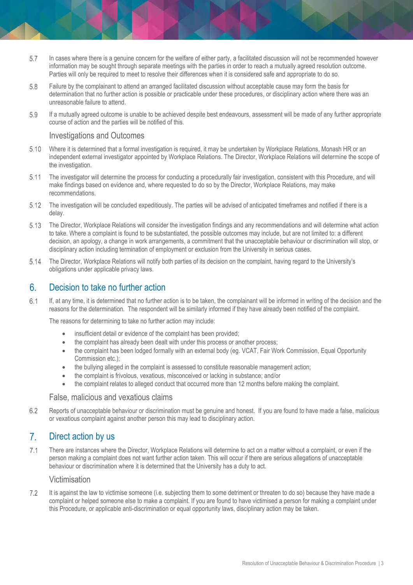- 5.7 In cases where there is a genuine concern for the welfare of either party, a facilitated discussion will not be recommended however information may be sought through separate meetings with the parties in order to reach a mutually agreed resolution outcome. Parties will only be required to meet to resolve their differences when it is considered safe and appropriate to do so.
- 5.8 Failure by the complainant to attend an arranged facilitated discussion without acceptable cause may form the basis for determination that no further action is possible or practicable under these procedures, or disciplinary action where there was an unreasonable failure to attend.
- 5.9 If a mutually agreed outcome is unable to be achieved despite best endeavours, assessment will be made of any further appropriate course of action and the parties will be notified of this.

# Investigations and Outcomes

- 5.10 Where it is determined that a formal investigation is required, it may be undertaken by Workplace Relations, Monash HR or an independent external investigator appointed by Workplace Relations. The Director, Workplace Relations will determine the scope of the investigation.
- $5.11$ The investigator will determine the process for conducting a procedurally fair investigation, consistent with this Procedure, and will make findings based on evidence and, where requested to do so by the Director, Workplace Relations, may make recommendations.
- $5.12$ The investigation will be concluded expeditiously. The parties will be advised of anticipated timeframes and notified if there is a delay.
- The Director, Workplace Relations will consider the investigation findings and any recommendations and will determine what action 5.13 to take. Where a complaint is found to be substantiated, the possible outcomes may include, but are not limited to: a different decision, an apology, a change in work arrangements, a commitment that the unacceptable behaviour or discrimination will stop, or disciplinary action including termination of employment or exclusion from the University in serious cases.
- 5.14 The Director, Workplace Relations will notify both parties of its decision on the complaint, having regard to the University's obligations under applicable privacy laws.

#### Decision to take no further action  $6.$

 $6.1$ If, at any time, it is determined that no further action is to be taken, the complainant will be informed in writing of the decision and the reasons for the determination. The respondent will be similarly informed if they have already been notified of the complaint.

The reasons for determining to take no further action may include:

- insufficient detail or evidence of the complaint has been provided;
- the complaint has already been dealt with under this process or another process;
- the complaint has been lodged formally with an external body (eg. VCAT, Fair Work Commission, Equal Opportunity Commission etc.);
- the bullying alleged in the complaint is assessed to constitute reasonable management action;
- the complaint is frivolous, vexatious, misconceived or lacking in substance; and/or
- the complaint relates to alleged conduct that occurred more than 12 months before making the complaint.

### False, malicious and vexatious claims

6.2 Reports of unacceptable behaviour or discrimination must be genuine and honest. If you are found to have made a false, malicious or vexatious complaint against another person this may lead to disciplinary action.

#### $7<sub>1</sub>$ Direct action by us

 $7.1$ There are instances where the Director, Workplace Relations will determine to act on a matter without a complaint, or even if the person making a complaint does not want further action taken. This will occur if there are serious allegations of unacceptable behaviour or discrimination where it is determined that the University has a duty to act.

### Victimisation

 $7.2$ It is against the law to victimise someone (i.e. subjecting them to some detriment or threaten to do so) because they have made a complaint or helped someone else to make a complaint. If you are found to have victimised a person for making a complaint under this Procedure, or applicable anti-discrimination or equal opportunity laws, disciplinary action may be taken.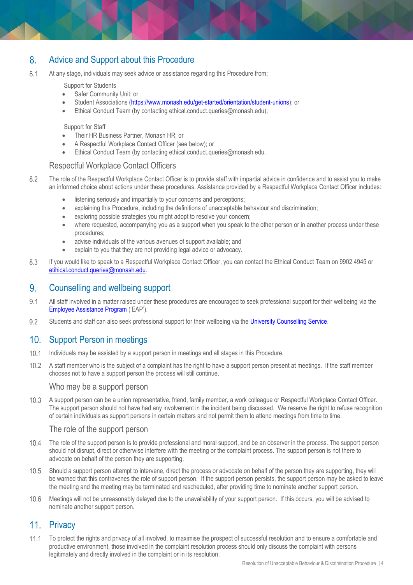#### $8<sub>1</sub>$ Advice and Support about this Procedure

 $8.1$ At any stage, individuals may seek advice or assistance regarding this Procedure from;

Support for Students

- Safer Community Unit; or
- Student Associations [\(https://www.monash.edu/get-started/orientation/student-unions\)](https://www.monash.edu/get-started/orientation/student-unions); or
- Ethical Conduct Team (by contacting [ethical.conduct.queries@monash.edu\)](mailto:ethical.conduct.queries@monash.edu);

Support for Staff

- Their HR Business Partner, Monash HR; or
- A Respectful Workplace Contact Officer (see below); or
- Ethical Conduct Team (by contacting [ethical.conduct.queries@monash.edu.](mailto:ethical.conduct.queries@monash.edu)

# Respectful Workplace Contact Officers

- The role of the Respectful Workplace Contact Officer is to provide staff with impartial advice in confidence and to assist you to make 8.2 an informed choice about actions under these procedures. Assistance provided by a Respectful Workplace Contact Officer includes:
	- listening seriously and impartially to your concerns and perceptions;
	- explaining this Procedure, including the definitions of unacceptable behaviour and discrimination;
	- exploring possible strategies you might adopt to resolve your concern;
	- where requested, accompanying you as a support when you speak to the other person or in another process under these procedures;
	- advise individuals of the various avenues of support available; and
	- explain to you that they are not providing legal advice or advocacy.
- If you would like to speak to a Respectful Workplace Contact Officer, you can contact the Ethical Conduct Team on 9902 4945 or 8.3 [etihical.conduct.queries@monash.edu.](mailto:etihical.conduct.queries@monash.edu)

#### 9 Counselling and wellbeing support

- $9.1$ All staff involved in a matter raised under these procedures are encouraged to seek professional support for their wellbeing via the [Employee Assistance Program](https://www.intranet.monash/hr/home/featured-items/row-2/featured-jobs/employee-assistance-program) ('EAP').
- $9.2$ Students and staff can also seek professional support for their wellbeing via the [University Counselling Service.](https://www.monash.edu/health/counselling)

#### $10<sup>-1</sup>$ Support Person in meetings

- $10.1$ Individuals may be assisted by a support person in meetings and all stages in this Procedure.
- $10.2$ A staff member who is the subject of a complaint has the right to have a support person present at meetings. If the staff member chooses not to have a support person the process will still continue.

### Who may be a support person

 $10.3$ A support person can be a union representative, friend, family member, a work colleague or Respectful Workplace Contact Officer. The support person should not have had any involvement in the incident being discussed. We reserve the right to refuse recognition of certain individuals as support persons in certain matters and not permit them to attend meetings from time to time.

## The role of the support person

- $10.4$ The role of the support person is to provide professional and moral support, and be an observer in the process. The support person should not disrupt, direct or otherwise interfere with the meeting or the complaint process. The support person is not there to advocate on behalf of the person they are supporting.
- $10.5$ Should a support person attempt to intervene, direct the process or advocate on behalf of the person they are supporting, they will be warned that this contravenes the role of support person. If the support person persists, the support person may be asked to leave the meeting and the meeting may be terminated and rescheduled, after providing time to nominate another support person.
- $10.6$ Meetings will not be unreasonably delayed due to the unavailability of your support person. If this occurs, you will be advised to nominate another support person.

# 11. Privacy

To protect the rights and privacy of all involved, to maximise the prospect of successful resolution and to ensure a comfortable and productive environment, those involved in the complaint resolution process should only discuss the complaint with persons legitimately and directly involved in the complaint or in its resolution.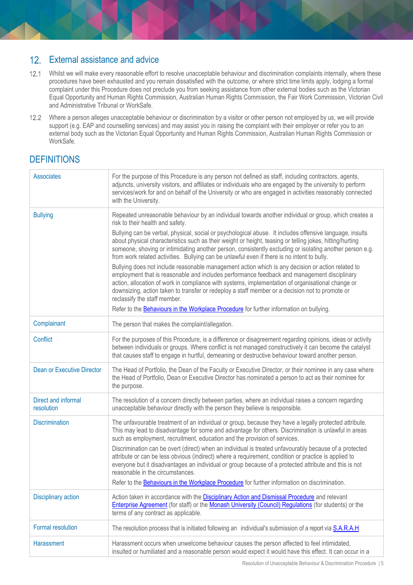#### External assistance and advice  $12<sub>1</sub>$

- 12.1 Whilst we will make every reasonable effort to resolve unacceptable behaviour and discrimination complaints internally, where these procedures have been exhausted and you remain dissatisfied with the outcome, or where strict time limits apply, lodging a formal complaint under this Procedure does not preclude you from seeking assistance from other external bodies such as the Victorian Equal Opportunity and Human Rights Commission, Australian Human Rights Commission, the Fair Work Commission, Victorian Civil and Administrative Tribunal or WorkSafe.
- 12.2 Where a person alleges unacceptable behaviour or discrimination by a visitor or other person not employed by us, we will provide support (e.g. EAP and counselling services) and may assist you in raising the complaint with their employer or refer you to an external body such as the Victorian Equal Opportunity and Human Rights Commission, Australian Human Rights Commission or WorkSafe.

# **DEFINITIONS**

| <b>Associates</b>                 | For the purpose of this Procedure is any person not defined as staff, including contractors, agents,<br>adjuncts, university visitors, and affiliates or individuals who are engaged by the university to perform<br>services/work for and on behalf of the University or who are engaged in activities reasonably connected<br>with the University.                                                                                                                                                                                                                                                                                                                                                                                                        |
|-----------------------------------|-------------------------------------------------------------------------------------------------------------------------------------------------------------------------------------------------------------------------------------------------------------------------------------------------------------------------------------------------------------------------------------------------------------------------------------------------------------------------------------------------------------------------------------------------------------------------------------------------------------------------------------------------------------------------------------------------------------------------------------------------------------|
| <b>Bullying</b>                   | Repeated unreasonable behaviour by an individual towards another individual or group, which creates a<br>risk to their health and safety.<br>Bullying can be verbal, physical, social or psychological abuse. It includes offensive language, insults<br>about physical characteristics such as their weight or height, teasing or telling jokes, hitting/hurting<br>someone, shoving or intimidating another person, consistently excluding or isolating another person e.g.<br>from work related activities. Bullying can be unlawful even if there is no intent to bully.<br>Bullying does not include reasonable management action which is any decision or action related to                                                                           |
|                                   | employment that is reasonable and includes performance feedback and management disciplinary<br>action, allocation of work in compliance with systems, implementation of organisational change or<br>downsizing, action taken to transfer or redeploy a staff member or a decision not to promote or<br>reclassify the staff member.<br>Refer to the Behaviours in the Workplace Procedure for further information on bullying.                                                                                                                                                                                                                                                                                                                              |
| Complainant                       | The person that makes the complaint/allegation.                                                                                                                                                                                                                                                                                                                                                                                                                                                                                                                                                                                                                                                                                                             |
| <b>Conflict</b>                   | For the purposes of this Procedure, is a difference or disagreement regarding opinions, ideas or activity<br>between individuals or groups. Where conflict is not managed constructively it can become the catalyst<br>that causes staff to engage in hurtful, demeaning or destructive behaviour toward another person.                                                                                                                                                                                                                                                                                                                                                                                                                                    |
| <b>Dean or Executive Director</b> | The Head of Portfolio, the Dean of the Faculty or Executive Director, or their nominee in any case where<br>the Head of Portfolio, Dean or Executive Director has nominated a person to act as their nominee for<br>the purpose.                                                                                                                                                                                                                                                                                                                                                                                                                                                                                                                            |
| Direct and informal<br>resolution | The resolution of a concern directly between parties, where an individual raises a concern regarding<br>unacceptable behaviour directly with the person they believe is responsible.                                                                                                                                                                                                                                                                                                                                                                                                                                                                                                                                                                        |
| <b>Discrimination</b>             | The unfavourable treatment of an individual or group, because they have a legally protected attribute.<br>This may lead to disadvantage for some and advantage for others. Discrimination is unlawful in areas<br>such as employment, recruitment, education and the provision of services.<br>Discrimination can be overt (direct) when an individual is treated unfavourably because of a protected<br>attribute or can be less obvious (indirect) where a requirement, condition or practice is applied to<br>everyone but it disadvantages an individual or group because of a protected attribute and this is not<br>reasonable in the circumstances.<br>Refer to the Behaviours in the Workplace Procedure for further information on discrimination. |
| <b>Disciplinary action</b>        | Action taken in accordance with the Disciplinary Action and Dismissal Procedure and relevant<br>Enterprise Agreement (for staff) or the Monash University (Council) Regulations (for students) or the<br>terms of any contract as applicable.                                                                                                                                                                                                                                                                                                                                                                                                                                                                                                               |
| <b>Formal resolution</b>          | The resolution process that is initiated following an individual's submission of a report via S.A.R.A.H.                                                                                                                                                                                                                                                                                                                                                                                                                                                                                                                                                                                                                                                    |
| <b>Harassment</b>                 | Harassment occurs when unwelcome behaviour causes the person affected to feel intimidated,<br>insulted or humiliated and a reasonable person would expect it would have this effect. It can occur in a                                                                                                                                                                                                                                                                                                                                                                                                                                                                                                                                                      |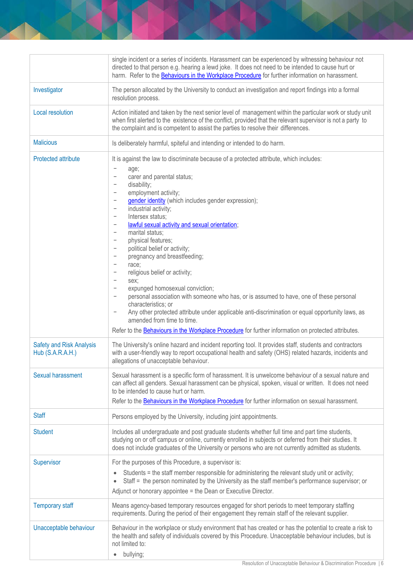|                                                     | single incident or a series of incidents. Harassment can be experienced by witnessing behaviour not<br>directed to that person e.g. hearing a lewd joke. It does not need to be intended to cause hurt or<br>harm. Refer to the Behaviours in the Workplace Procedure for further information on harassment.                                                                                                                                                                                                                                                                                                                                                                                                                                                                                                                                                                                                                                                                                                                                                                                                                                                                                                                                                                  |
|-----------------------------------------------------|-------------------------------------------------------------------------------------------------------------------------------------------------------------------------------------------------------------------------------------------------------------------------------------------------------------------------------------------------------------------------------------------------------------------------------------------------------------------------------------------------------------------------------------------------------------------------------------------------------------------------------------------------------------------------------------------------------------------------------------------------------------------------------------------------------------------------------------------------------------------------------------------------------------------------------------------------------------------------------------------------------------------------------------------------------------------------------------------------------------------------------------------------------------------------------------------------------------------------------------------------------------------------------|
| Investigator                                        | The person allocated by the University to conduct an investigation and report findings into a formal<br>resolution process.                                                                                                                                                                                                                                                                                                                                                                                                                                                                                                                                                                                                                                                                                                                                                                                                                                                                                                                                                                                                                                                                                                                                                   |
| Local resolution                                    | Action initiated and taken by the next senior level of management within the particular work or study unit<br>when first alerted to the existence of the conflict, provided that the relevant supervisor is not a party to<br>the complaint and is competent to assist the parties to resolve their differences.                                                                                                                                                                                                                                                                                                                                                                                                                                                                                                                                                                                                                                                                                                                                                                                                                                                                                                                                                              |
| <b>Malicious</b>                                    | Is deliberately harmful, spiteful and intending or intended to do harm.                                                                                                                                                                                                                                                                                                                                                                                                                                                                                                                                                                                                                                                                                                                                                                                                                                                                                                                                                                                                                                                                                                                                                                                                       |
| <b>Protected attribute</b>                          | It is against the law to discriminate because of a protected attribute, which includes:<br>$\qquad \qquad -$<br>age;<br>carer and parental status;<br>$\qquad \qquad -$<br>disability;<br>$\qquad \qquad -$<br>employment activity;<br>$\qquad \qquad -$<br>gender identity (which includes gender expression);<br>$\qquad \qquad -$<br>industrial activity;<br>$\qquad \qquad -$<br>Intersex status;<br>$\qquad \qquad -$<br>lawful sexual activity and sexual orientation;<br>$\qquad \qquad -$<br>marital status;<br>$\qquad \qquad -$<br>physical features;<br>$\qquad \qquad -$<br>political belief or activity;<br>$\qquad \qquad -$<br>pregnancy and breastfeeding;<br>$\qquad \qquad -$<br>race;<br>$\qquad \qquad -$<br>religious belief or activity;<br>$\qquad \qquad -$<br>sex;<br>$\qquad \qquad -$<br>expunged homosexual conviction;<br>$\qquad \qquad -$<br>personal association with someone who has, or is assumed to have, one of these personal<br>$\qquad \qquad -$<br>characteristics; or<br>Any other protected attribute under applicable anti-discrimination or equal opportunity laws, as<br>$\qquad \qquad -$<br>amended from time to time.<br>Refer to the Behaviours in the Workplace Procedure for further information on protected attributes. |
| <b>Safety and Risk Analysis</b><br>Hub (S.A.R.A.H.) | The University's online hazard and incident reporting tool. It provides staff, students and contractors<br>with a user-friendly way to report occupational health and safety (OHS) related hazards, incidents and<br>allegations of unacceptable behaviour.                                                                                                                                                                                                                                                                                                                                                                                                                                                                                                                                                                                                                                                                                                                                                                                                                                                                                                                                                                                                                   |
| <b>Sexual harassment</b>                            | Sexual harassment is a specific form of harassment. It is unwelcome behaviour of a sexual nature and<br>can affect all genders. Sexual harassment can be physical, spoken, visual or written. It does not need<br>to be intended to cause hurt or harm.<br>Refer to the Behaviours in the Workplace Procedure for further information on sexual harassment.                                                                                                                                                                                                                                                                                                                                                                                                                                                                                                                                                                                                                                                                                                                                                                                                                                                                                                                   |
| <b>Staff</b>                                        | Persons employed by the University, including joint appointments.                                                                                                                                                                                                                                                                                                                                                                                                                                                                                                                                                                                                                                                                                                                                                                                                                                                                                                                                                                                                                                                                                                                                                                                                             |
| <b>Student</b>                                      | Includes all undergraduate and post graduate students whether full time and part time students,<br>studying on or off campus or online, currently enrolled in subjects or deferred from their studies. It<br>does not include graduates of the University or persons who are not currently admitted as students.                                                                                                                                                                                                                                                                                                                                                                                                                                                                                                                                                                                                                                                                                                                                                                                                                                                                                                                                                              |
| Supervisor                                          | For the purposes of this Procedure, a supervisor is:<br>Students = the staff member responsible for administering the relevant study unit or activity;<br>Staff = the person nominated by the University as the staff member's performance supervisor; or<br>$\bullet$<br>Adjunct or honorary appointee = the Dean or Executive Director.                                                                                                                                                                                                                                                                                                                                                                                                                                                                                                                                                                                                                                                                                                                                                                                                                                                                                                                                     |
| <b>Temporary staff</b>                              | Means agency-based temporary resources engaged for short periods to meet temporary staffing<br>requirements. During the period of their engagement they remain staff of the relevant supplier.                                                                                                                                                                                                                                                                                                                                                                                                                                                                                                                                                                                                                                                                                                                                                                                                                                                                                                                                                                                                                                                                                |
| Unacceptable behaviour                              | Behaviour in the workplace or study environment that has created or has the potential to create a risk to<br>the health and safety of individuals covered by this Procedure. Unacceptable behaviour includes, but is<br>not limited to:<br>bullying;                                                                                                                                                                                                                                                                                                                                                                                                                                                                                                                                                                                                                                                                                                                                                                                                                                                                                                                                                                                                                          |